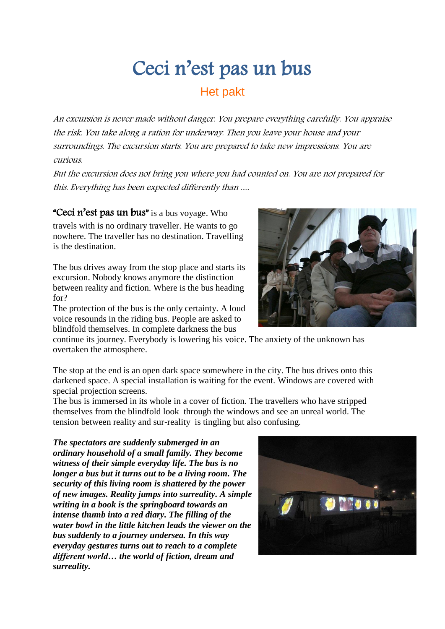# Ceci n'est pas un bus

## Het pakt

An excursion is never made without danger. You prepare everything carefully. You appraise the risk. You take along a ration for underway. Then you leave your house and your surroundings. The excursion starts. You are prepared to take new impressions. You are curious.

But the excursion does not bring you where you had counted on. You are not prepared for this. Everything has been expected differently than .....

#### "Ceci n'est pas un bus" is a bus voyage. Who

travels with is no ordinary traveller. He wants to go nowhere. The traveller has no destination. Travelling is the destination.

The bus drives away from the stop place and starts its excursion. Nobody knows anymore the distinction between reality and fiction. Where is the bus heading for?

The protection of the bus is the only certainty. A loud voice resounds in the riding bus. People are asked to blindfold themselves. In complete darkness the bus

continue its journey. Everybody is lowering his voice. The anxiety of the unknown has overtaken the atmosphere.

The stop at the end is an open dark space somewhere in the city. The bus drives onto this darkened space. A special installation is waiting for the event. Windows are covered with special projection screens.

The bus is immersed in its whole in a cover of fiction. The travellers who have stripped themselves from the blindfold look through the windows and see an unreal world. The tension between reality and sur-reality is tingling but also confusing.

*The spectators are suddenly submerged in an ordinary household of a small family. They become witness of their simple everyday life. The bus is no longer a bus but it turns out to be a living room. The security of this living room is shattered by the power of new images. Reality jumps into surreality. A simple writing in a book is the springboard towards an intense thumb into a red diary. The filling of the water bowl in the little kitchen leads the viewer on the bus suddenly to a journey undersea. In this way everyday gestures turns out to reach to a complete different world… the world of fiction, dream and surreality.*